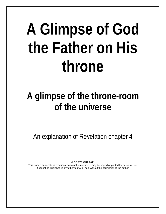# **A Glimpse of God the Father on His throne**

# **A glimpse of the throne-room of the universe**

An explanation of Revelation chapter 4

© COPYRIGHT 2011

This work is subject to international copyright legislation. It may be copied or printed for personal use. It cannot be published in any other format or sold without the permission of the author.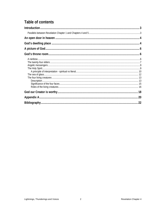# Table of contents

<span id="page-1-0"></span>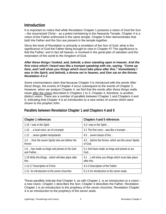# **Introduction**

It is important to notice that while Revelation Chapter 1 presents a vision of God the Son – the resurrected Christ – as a priest ministering in the Heavenly Temple, Chapter 4 is a vision of the Father enthroned in the same temple. Chapter 5 then demonstrates that both the Father and the Son are present in the temple together.

Since the book of Revelation is primarily a revelation of the Son of God, what is the significance of God the Father being brought to view in Chapter 4? The significance is that the Father, and in fact all heaven, is involved in the great plan of salvation and the restoration of this world to the Kingdom of God.

#### *After these things I looked, and, behold, a door standing open in heaven. And the first voice which I heard was like a trumpet speaking with me, saying, "Come up here, and I will show you things which must take place after this." Immediately I was in the Spirit; and behold, a throne set in heaven, and One sat on the throne. Revelation 4:1-2*

Some commentators claim that because Chapter 4 is introduced with the words *After these things,* the events of Chapter 4 occur subsequent to the events of Chapter 3. However, when we analyze Chapter 4, we find that the words *after these things* really mean after the vision described in Chapters 1 to 3. Chapter 4, therefore, is another, distinct vision. There are a number of parallels between Chapter 1 and Chapters 4 and 5, indicating that Chapter 4 is an introduction to a new series of scenes which were shown to the prophet John.

| Chapter 1 references                                        | Chapters 4 and 5 references                                      |
|-------------------------------------------------------------|------------------------------------------------------------------|
| 1:10 I was in the Spirit                                    | 4:2 I was in the Spirit                                          |
| 1:10 a loud voice, as of a trumpet                          | 4:1 The first voicewas like a trumpet                            |
| 1:12  seven golden lampstands                               | 4:5  seven lamps of fire                                         |
| 1:4  from the seven Spirits who are before His<br>throne    | 4:5  before the throne, which are the seven Spirits<br>of God.   |
| 1:6  has made us kings and priests to His God<br>and Father | 5:1 And have made us kings and priests to our<br>God             |
| 1:19 Write the thingswhich will take place after<br>this.   | 4:1  I will show you things which must take place<br>after this. |
| 1:12-17 Description of Christ                               | 4:2-3 Description of the Father                                  |
| 1:12 An introduction to the seven churches                  | 5:1-5 An introduction to the seven seals.                        |

### <span id="page-2-0"></span>**Parallels between Revelation Chapter 1 and Chapters 4 and 5**

These parallels indicate that Chapter 4, as with Chapter 1, is an introduction to a vision – a new vision. Chapter 1 describes the Son: Chapter 4 describes the Father. Revelation Chapter 1 is an introduction to the prophecy of the seven churches. Revelation Chapter 4 is an introduction to the prophecy of the seven seals.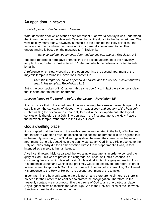# <span id="page-3-0"></span>**An open door in heaven**

*…behold, a door standing open in heaven…*

What does this door which stands open represent? For over a century it was understood that it was the door to the Heavenly Temple, that is, the door into the *first* apartment. The view held by many today, however, is that this is the door into the Holy of Holies - the *second* apartment - where the throne of God is generally considered to be. This understanding is based on the message to Philadelphia*:*

*…I have set before you an open door, and no one can shut it... Revelation 3:8* 

The door referred to here gave entrance into the second apartment of the heavenly temple, through which Christ entered in 1844, and which the believer is invited to enter by faith.

A reference which clearly speaks of the open door into the second apartment of the majestic temple is found in Revelation Chapter 11:

*Then the temple of God was opened in heaven, and the ark of His covenant was seen in His temple… Revelation 11:18*

But is the door spoken of in Chapter 4 this same door? No. In fact the evidence is clear that it is the door to the first apartment.

#### *…seven lamps of fire burning before the throne… Revelation 4:5*

It is instructive that in the apartment John was viewing there existed seven lamps. In the earthly type - the sanctuary of Moses – which was *a copy and shadow of the heavenly* (Hebrews 8:2) the seven lamps were only located in the first apartment. The logical conclusion is therefore that John in vision was in the first apartment, the Holy Place of the heavenly temple, rather than in the Holy of Holies.

# <span id="page-3-1"></span>**God's dwelling place**

It is accepted that the throne in the earthly temple was located in the Holy of Holies and that therefore Chapter 4 must be describing the second apartment. It is also agreed that in the earthly sanctuary, the Shekinah glory dwelt between the cherubim in the second apartment. Generally speaking, in the earthly sanctuary, God limited His presence to the Holy of Holies. Why did the Father confine Himself to this apartment? It was, in fact, intended as a mercy to human beings.

A veil, centimeters thick, separated the two temple apartments in order to conceal the glory of God. This was to protect the congregation, because God's presence is a consuming fire to anything tainted by sin. Unless God limited the glory emanating from His presence all humans within close proximity would be destroyed. Therefore, in order to enable man to approach God, to commune with Him, to get to know Him, God limited His presence to the Holy of Holies - the second apartment of the temple.

In contrast, in the heavenly temple there is no sin and there are no sinners, so there is no need for the Father to be confined to protect the congregation. Therefore, in the heavenly context, we must not confine the throne of God to any one particular place. Any suggestion which restricts the Most High God to the Holy of Holies of the Heavenly Sanctuary must be dismissed out of hand.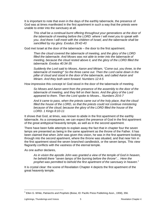It is important to note that even in the days of the earthly tabernacle, the presence of God was at times manifested in the first apartment in such a way that the priests were unable to enter into the sanctuary at all.

*This shall be a continual burnt offering throughout your generations at the door of the tabernacle of meeting before the LORD: where I will meet you to speak with you. And there I will meet with the children of Israel, and the tabernacle shall be sanctified by my glory. Exodus 29:42-43*

God met Israel at the door of the tabernacle – the door to the first apartment.

*Then the cloud covered the tabernacle of meeting, and the glory of the LORD filled the tabernacle. And Moses was not able to enter into the tabernacle of meeting, because the cloud rested above it, and the glory of the LORD filled the tabernacle. Exodus 40:34-35*

*Suddenly the Lord said to Moses, Aaron and Miriam, "Come out, you three, to the tabernacle of meeting!" So the three came out. Then the Lord came down in the pillar of cloud and stood in the door of the tabernacle, and called Aaron and Miriam. And they both went forward. Numbers 12:4-5*

How impressive this concept is! God stood in the door of the tabernacle of meeting.

*So Moses and Aaron went from the presence of the assembly to the door of the tabernacle of meeting, and they fell on their faces. And the glory of the Lord appeared to them. Then the Lord spoke to Moses... Numbers 20:6-7*

*And it came to pass, when the priests came out of the holy place, that the cloud filled the house of the LORD, so that the priests could not continue ministering because of the cloud; because the glory of the LORD filled the house of the LORD. 1 Kings 8:10-11* 

It shows that God, at times, was known to abide in the first apartment of the earthly tabernacle. As a consequence, we can expect the presence of God in the first apartment of the great antitypical heavenly temple, as well as in the second apartment.

There have been futile attempts to explain away the fact that in chapter four the seven lamps are presented as being in the same apartment as the throne of the Father. It has been claimed that when John was given this vision, he was in the first apartment looking through into the second apartment, where the throne was situated, and that near him in the first apartment stood the seven branched candlestick, or the seven lamps. This view flagrantly conflicts with the vastness of the eternal temple.

As one author declares,

*As in vision the apostle John was granted a view of the temple of God in heaven, he beheld there "seven lamps of fire burning before the throne"… Here the prophet was permitted to behold the first apartment of the sanctuary in heaven.[1](#page-4-0)*

It is crystal clear: the scene of Revelation Chapter 4 depicts the first apartment of the great heavenly temple.

<span id="page-4-0"></span><sup>1</sup> Ellen G. White, *Patriarchs and Prophets* (Boise, ID: Pacific Press Publishing Assn., 1958), 356.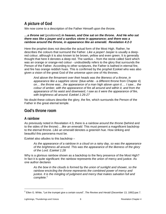# <span id="page-5-0"></span>**A picture of God**

We now come to a description of the Father Himself upon the throne.

#### *…a throne set* (positioned) *in heaven, and One sat on the throne. And He who sat there was like a jasper and a sardius stone in appearance; and there was a rainbow around the throne, in appearance like an emerald. Revelation 4:2-3*

Here the prophet does not describe the actual form of the Most High. Rather, he describes the colours that surround the Father. *Like a jasper!* Jasper is usually a deepred colour, although it is also known to be brown, yellow and even green. It is generally thought that here it denotes a deep red. The sardius – from the stone called Sard which was an orange or orange-red colour - undoubtedly refers to the glory that surrounds the Person of the Father. According to other scriptures, the Father is bathed in eternal fire, and fire has orange reddish hues. This is confirmed by the prophet Ezekiel who was also given a vision of the great God of the universe upon one of His thrones.

*And above the firmament over their heads was the likeness of a throne, in appearance like a sapphire stone:* (blue-white - a different throne from Chapter 4) *on… the throne was…the appearance of a man high above upon it…. I saw… the colour of amber, with the appearance of fire all around and within it, and from the appearance of his waist and downward, I saw as it were the appearance of fire, with brightness all around. Ezekiel 1:26-27*

No doubt these colours describe the glory, the fire, which surrounds the Person of the Father in the great eternal temple.

# <span id="page-5-1"></span>**God's throne room**

#### <span id="page-5-2"></span>**A rainbow**

As previously noted in Revelation 4:3, there is *a rainbow around the throne* (behind and to the sides of the throne) *…like an emerald*. This must present a magnificent backdrop to the eternal throne. *Like an emerald* denotes a greenish hue. How striking and beautiful this panorama must be.

Ezekiel also alludes to this backdrop –

*As the appearance of a rainbow in a cloud on a rainy day, so was the appearance of the brightness all around. This was the appearance of the likeness of the glory of the Lord. Ezekiel 1:28*

Why is a glorious rainbow shown as a backdrop to the fiery presence of the Most High? In fact it is quite significant: the rainbow represents the union of mercy and justice. As one author declares

*As the bow in the clouds is formed by the union of sunlight and shower, so the rainbow encircling the throne represents the combined power of mercy and justice. It is the mingling of judgment and mercy that makes salvation full and complete.*[2](#page-5-3)

 $\overline{a}$ 

<span id="page-5-3"></span><sup>2</sup> Ellen G. White, "Let the trumpet give a certain sound", *The Review and Herald* (December 13, 1892):par.7.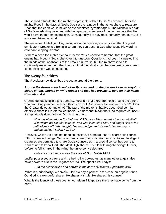The second attribute that the rainbow represents relates to God's covenant. After the mighty Flood in the days of Noah, God set the rainbow in the atmosphere to reassure Noah that the earth would never be overwhelmed by water again. The rainbow is a sign of God's everlasting covenant with the repentant members of the human race that He would save them from destruction. Consequently it is a symbol, primarily, that our God is a covenant-keeping God.

The universe of intelligent life, gazing upon the rainbow, are reminded that the great omnipotent Creator is a Being in whom they can trust - a God who keeps His word - a covenant-keeping Creator.

Is there a need for such a symbol in heaven? We need to remember that the great enemy had brought God's character into question. Questions had been insinuated into the minds of the inhabitants of the unfallen universe, but the rainbow serves to continually reassure them that they can trust their God - that the slanderous lies spread concerning Him would not stand.

#### <span id="page-6-0"></span>**The twenty-four elders**

The Revelator now describes the scene around the throne.

#### *Around the throne were twenty-four thrones, and on the thrones I saw twenty-four elders sitting, clothed in white robes; and they had crowns of gold on their heads. Revelation 4:4*

Crowns denote kingship and authority. How is it that there are those around the throne who have kingly authority? Does this mean that God shares His rule with others? Does the Creator delegate authority? The fact of the matter is that He does. God permits others to share in His eternal counsels. But does that mean that God requires counsel? It emphatically does not: our God is omniscient.

*Who has directed the Spirit of the LORD, or as His counselor has taught Him? With whom did He take counsel, and who instructed Him, and taught Him in the path of justice? Who taught Him knowledge, and showed Him the way of understanding? Isaiah 40:13-14*

However, while God does not need counselors, it appears that He shares His counsel with His created beings. God is a great sharer, not a dictator nor an autocrat. Intelligent creatures are permitted to share God's counsels so in a special sense they come to learn of and to know God. The Most High shares His rule with angelic beings. Lucifer, before he fell, shared in the ruling the universe. He declared

*I will exalt my throne above the stars of God. Isaiah 14:13*

Lucifer possessed a throne and he had ruling power, just as many other angels also have power to rule in the kingdom of God. The apostle Paul says:

*…to the principalities and powers in the heavenly places. Ephesians 3:10*

What is a principality? A domain ruled over by a prince: in this case an angelic prince. Our God is a wonderful sharer. He shares His rule, He shares his counsel.

What is the identity of these twenty-four elders? It appears that they have come from the earth.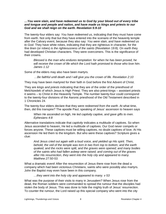#### *…You were slain, and have redeemed us to God by your blood out of every tribe and tongue and people and nation, and have made us kings and priests to our God and we shall reign on the earth. Revelation 5:9-10*

The twenty-four elders say: *You have redeemed us,* indicating that they must have come from earth. Not only that but they have entered into the scenario of the heavenly temple after the Calvary event, because they also say: *You were slain, and have redeemed us to God.* They have white robes, indicating that they are righteous in character, for the *fine linen* (or robes) *is the righteousness of the saints* (Revelation 19:8)*.* On earth they had developed Christian characters. They were overcomers. This is the significance of their crowns.

*Blessed is the man who endures temptation: for when he has been proved, he will receive the crown of life which the Lord hath promised to those who love him. James 1:12*

Some of the elders may also have been martyrs.

*…Be faithful until death and I will give you the crown of life. Revelation 2:10*

They may have been martyred for their faith in God before the first Advent of Christ.

They are *kings and priests* indicating that they are of the order of the priesthood of Melchizedek of which Jesus is High Priest. They are also priest-kings – assistant priests it seems – to Christ in the Heavenly Temple. The number twenty-four could correspond to the twenty-four divisions of the Aaronic priesthood of the Old Testament described in 1 Chronicles 24.

The twenty-four elders declare that they *were redeemed from the earth*. At what time, then, did this transpire? The apostle Paul, speaking of Jesus' ascension to heaven says

*When He ascended on high, He led captivity captive, and gave gifts to men. Ephesians 4:8*

Alternative translations indicate that *captivity* indicates a multitude of captives. So when Jesus ascended to heaven, He led a multitude of captives. Our God never compels or forces anyone. These captives must be willing captives, no doubt captives of love. At His ascension He led them to the kingdom. But who were these captives? Scripture gives a clue:

*And Jesus cried out again with a loud voice, and yielded up His spirit. Then, behold, the veil of the temple was torn in two from top to bottom; and the earth quaked, and the rocks were split, and the graves were opened; and many bodies of the saints who had fallen asleep were raised; and coming out of the graves after His resurrection, they went into the holy city and appeared to many. Matthew 27:50-53.* 

What a dramatic event! After the resurrection of Jesus there rose from the dead a company which had been victorious Christians, saints who were possibly also martyrs. John the Baptist may even have been in this company.

*…they went into the holy city and appeared to many. v 53*

What was the purpose of their visits to many in Jerusalem? When Jesus rose from the dead, the Roman soldiers were commanded to spread the rumour that the disciples had stolen the body of Jesus. This was done to hide the mighty truth of Jesus' resurrection. To counter the rumour, the Lord raised up this special company who went into the city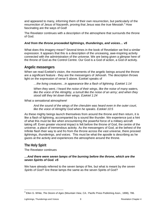and appeared to many, informing them of their own resurrection, but particularly of the resurrection of Jesus of Nazareth, proving that Jesus was the true Messiah.<sup>[3](#page-8-2)</sup> How fascinating are the ways of God!

The Revelator continues with a description of the atmosphere that surrounds the throne of God.

#### *And from the throne proceeded lightnings, thunderings, and voices… v5*

What does this imagery mean? Several times in the book of Revelation we find a similar expression. It appears that this is a description of the unceasing, awe-inspiring activity connected with the administration of the universe. We are being given a glimpse here of the throne of God as the Control Centre. Our God is a God of action, a God of activity.

#### <span id="page-8-0"></span>**Angelic messengers**

When we read Ezekiel's vision, the movements of the angelic beings around the throne are a significant feature - they are the messengers of Jehovah. The description throws light on the expression of verse 5 above. Ezekiel speaks of

*…the living creatures…in appearance like a flash of lightning. Ezekiel 1:14*

*When they went, I heard the noise of their wings, like the noise of many waters, like the voice of the Almighty, a tumult like the noise of an army; and when they stood still they let down their wings. Ezekiel 1:24*

What a sensational atmosphere!

*And the sound of the wings of the cherubim was heard even in the outer court, like the voice of Almighty God when he speaks. Ezekiel 10:5*

As these mighty beings launch themselves from around the throne and then return, it is like a flash of lightning, accompanied by a sound like thunder. We experience just a hint of what this must be like when encountering the powerful force of a military aircraft taking off. Even greater visceral impact is felt before the throne of God, the centre of the universe, a place of tremendous activity. As the messengers of God, at the behest of the Infinite flash their way to and fro from the throne across the vast universe, there proceed *lightnings, thunderings, and voices*. This must be what the apostle is describing as he gazes at the activity and experiences the atmosphere around the throne.

#### <span id="page-8-1"></span>**The Holy Spirit**

The Revelator continues

#### *…And there were seven lamps of fire burning before the throne, which are the seven Spirits of God. v5*

We have already referred to the seven lamps of fire, but what is meant by *the seven Spirits of God?* Are these lamps the same as the seven Spirits of God?

<span id="page-8-2"></span><sup>3</sup> Ellen G. White, *The Desire of Ages* (Mountain View, CA.: Pacific Press Publishing Assn., 1898), 786.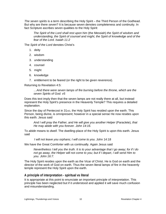*The seven spirits* is a term describing the Holy Spirit – the Third Person of the Godhead. But why are there *seven*? It is because seven denotes completeness and continuity. In fact Scripture ascribes seven qualities to the Holy Spirit:

*The Spirit of the Lord shall rest upon him* (the Messiah) *the Spirit of wisdom and understanding, the Spirit of counsel and might, the Spirit of knowledge and of the fear of the Lord. Isaiah 11:2*

The *Spirit of the Lord* denotes Christ's

- 1. deity
- 2. wisdom
- 3. understanding
- 4. counsel
- 5. might
- 6. knowledge
- 7. entitlement to be feared (or the right to be given reverence).

Returning to Revelation 4:5:

*…And there were seven lamps of fire burning before the throne, which are the seven Spirits of God. v5*

Does this text imply then that the seven lamps are not really there at all, but instead represent the Holy Spirit's presence in the Heavenly Temple? This requires a detailed explanation.

Since the day of Pentecost in 31AD, the Holy Spirit has resided upon the earth. This Person, being divine, is omnipresent; however in a special sense He now resides upon this earth. Jesus said

*And I will pray the Father, and He will give you another Helper* (Paraclete)*, that He may abide with you forever. John 14:16.*

To *abide* means to *dwell*. The dwelling-place of the Holy Spirit is upon this earth. Jesus said

*I will not leave you orphans; I will come to you*. John 14:18

We have the Great Comforter with us continually. Again Jesus said

*Nevertheless I tell you the truth. It is to your advantage that I go away; for if I do not go away, the Helper will not come to you; but if I depart, I will send Him to you. John 16:7.*

The Holy Spirit resides upon the earth as the Vicar of Christ. He is God on earth and the director of the work of God on earth. Thus the seven literal lamps of fire in the heavenly temple represent the Holy Spirit upon the earth.

#### <span id="page-9-0"></span>**A principle of interpretation - spiritual vs literal**

It is appropriate at this point to enunciate an important principle of interpretation. This principle has been neglected but if it understood and applied it will save much confusion and misunderstanding.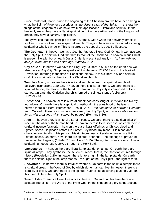Since Pentecost, that is, since the beginning of the Christian era, we have been living in what the Spirit of Prophecy describes as *the dispensation of the Spirit*. [4](#page-10-0) In this era the things of the kingdom of God have two main applications – literal and spiritual. In the heavenly realm they have a *literal* application but in the earthly realm of the kingdom of grace, they have a *spiritual* application.

Today we find that this principle is often reversed. Often when the heavenly temple is spoken of, it is spoken of as a spiritual temple. Things in heaven are described as being spiritual or wholly symbolic. This is incorrect: the opposite is true. To illustrate:

**The Godhead** - In heaven we have God the Father, a literal God. On earth we have God the Holy Spirit, a spiritual God, the third Person of the Godhead. In heaven Jesus Christ is present literally, but on earth Jesus Christ is present spiritually - *…lo, I am with you always, even unto the end of the age. Matthew 28:20.*

**City of God** - In heaven we have the Holy City - a literal city, but on the earth now we also have a *Holy City*. Scripture speaks of it in Hebrews 12:22-23 and in the book of Revelation, referring to the time of Papal supremacy. Is this a literal city or a spiritual city? It is a spiritual city, the city of the Christian church.

**Temple** - Again, in heaven there is a literal temple, on earth a spiritual temple of believers (Ephesians 2:20-22). In heaven there is a literal throne. On earth there is a spiritual throne, the throne of the heart. In heaven the Holy City is comprised of literal stones. On earth the Christian church is formed of spiritual stones (believers) (1 Peter 2:5).

**Priesthood** - In heaven there is a literal priesthood consisting of Christ and the twentyfour elders. On earth there is a spiritual priesthood – the priesthood of believers. In heaven there is a literal intercessor – Jesus Christ – *the one mediator between God and man*. On earth, there is a spiritual intercessor, the Holy Spirit, who *makes intercession for us with groanings which cannot be uttered.* (Romans 8:26).

**Altar** - In heaven there is a literal altar of incense. On earth there is a spiritual altar of incense, the altar of the human heart. In heaven there is literal incense, on earth there is spiritual incense (prayer). In heaven there are literal offerings of Christ's blood and righteousness. He pleads before His Father, "My blood, my blood". His blood and character are literally in His person. His righteousness is literally in heaven – a living righteousness. On earth, now, there are spiritual offerings – the offerings of prayer, of praise, of thanksgiving (1 Peter 2:5 and Heb. 13:15). The righteousness referred to is a spiritual righteousness received through the Holy Spirit.

**Lampstands** - In heaven there are literal lamp stands, or lamps. On earth there are spiritual lamps. They symbolize the seven churches, that is, the Christian church through history (Revelation 1:20). In heaven there is literal light in the lamp stands. On earth there is spiritual light in the lamp stands – the light of the Holy Spirit – the light of truth.

**Shewbread** - In heaven there is literal shewbread. On earth in the spiritual temple there is spiritual bread – the Word of God by which alone man can live. In heaven there is a literal river of life. On earth there is the spiritual river of life: according to John 7:38-39, this river of life is the Holy Spirit.

**Tree of Life** - There is a literal tree of life in heaven. On earth at this time there is a spiritual tree of life – the Word of the living God. In the kingdom of glory at the Second

 $\overline{a}$ 

<span id="page-10-0"></span><sup>4</sup> Ellen G. White, Manuscript Release No.99, *The importance, work and influence of the Holy Spirit*, 30:1.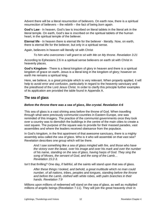Advent there will be a literal resurrection of believers. On earth now, there is a spiritual resurrection of believers – the rebirth – the fact of being *born again*.

**God's Law** - In heaven, God's law is inscribed on literal tablets in the literal ark in the literal temple. On earth, God's law is inscribed on the spiritual tablets of the human heart, in the spiritual temple of the believer.

**Eternal life** - In heaven there is eternal life for the believer - literally. Now, on earth, there is eternal life for the believer, but only in a spiritual sense.

Again, believers in heaven will literally sit with Christ

*To him who overcomes I will grant to sit with Me on My throne. Revelation 3:21*

According to Ephesians 2:6 in a spiritual sense believers on earth sit with Christ in heavenly places.

**God's Kingdom** - There is a literal kingdom of glory in heaven and there is a spiritual kingdom of grace on earth. Jesus is a literal king in the kingdom of glory; however on earth He remains a spiritual king.

Here, we believe, is a great principle which is very relevant. When properly applied, it will help to avoid error and confusion, particularly in regard to the heavenly sanctuary and the priesthood of the Lord Jesus Christ. In order to clarify this principle further examples of its application are provided the table found in Appendix A.

#### <span id="page-11-0"></span>**The sea of glass**

#### *Before the throne there was a sea of glass, like crystal. Revelation 4:6*

This sea of glass is a vast shining area before the throne of God. When travelling through what were previously communist countries in Eastern Europe, one was reminded of this imagery. The practice of the communist governments once they took over a country was to demolish the buildings in the centre of the main cities to create a vast square. The purpose of the square was to provide for their massed parades, vast assemblies and where the leaders received obeisance from the populace.

In God's kingdom, in the first apartment of that awesome sanctuary, there is a mighty assembly area called *the sea of glass*. Who is it who will assemble on that vast sea? Revelation describes one group which will be there.

*And I saw something like a sea of glass mingled with fire, and those who have the victory over the beast, over his image and over his mark and over the number of his name, standing on the sea of glass, having harps of God. They sing the song of Moses, the servant of God, and the song of the Lamb… Revelation 15:2-3.*

Isn't that thrilling? One day, if faithful, all the saints will stand upon that sea of glass.

*After these things I looked, and behold, a great multitude which no man could number, of all nations, tribes, peoples and tongues, standing before the throne and before the Lamb, clothed with white robes, with palm branches in their hands. Revelation 7:9*

Millions upon millions of redeemed will stand on the sea of glass, as well as multiplied millions of angelic beings (Revelation 7:11). They will join the great heavenly choir in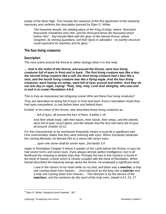praise of the Most High. This reveals the vastness of the first apartment of the heavenly sanctuary and confirms the description penned by Ellen G. White:

*The heavenly temple, the abiding place of the King of kings, where "thousand thousands ministered unto Him, and ten thousand times ten thousand stood before Him", that temple filled with the glory of the eternal throne, where seraphim, its shining guardians, veil their faces in adoration - no earthly structure could represent its vastness and its glory.* [5](#page-12-2)

#### <span id="page-12-0"></span>**The four living creatures**

#### <span id="page-12-1"></span>**Description**

The next scene around the throne is rather strange when it is first read.

*… And in the midst of the throne, and around the throne, were four living creatures full of eyes in front and in back. The first living creature was like a lion, the second living creature like a calf, the third living creature had a face like a man, and the fourth living creature was like a flying eagle. And the four living creatures, each having six wings, were full of eyes around and within. And they do not rest day or night, saying: "Holy, holy, holy, Lord God Almighty, who was and is and is to come! Revelation 4:6-8.*

This is truly an impressive but intriguing scene! Who are these four living creatures?

They are described as being *full of eyes in front and back.* Knox's translation reads *they had eyes everywhere, to see before them and behind them.*

Ezekiel, in his vision of the throne, also described these living creatures as…

*…full of eyes, all around the four of them. Ezekiel 1:18*

*And their whole body, with their backs, their hands, their wings, and the wheels, were full of eyes round about, and the wheels that the four had were full of eyes all around. Ezekiel 10:12*

For this characteristic to be mentioned frequently means it must be a significant trait. One commentator states that they were *teeming with eyes*. When Zechariah predicted the coming Messiah, he likened Him to a stone with seven eyes:

*… upon one stone shall be seven eyes. Zechariah 3:9* 

Again in Revelation Chapter 5 where it speaks of the Lamb before the throne, it says He had *seven horns and seven eyes.* Eyes always denote perfect intelligence, but in all likelihood the meaning is deeper than that. Perhaps the key to this mystery is found in the book of Daniel, a book which is closely coupled with the book of Revelation. When Daniel described the heavenly beings about the throne, he employed a significant word:

*I saw in the visions of my head while on my bed, and there was a watcher, a holy one coming down from heaven…. And inasmuch as the king saw a watcher and a holy one coming down from heaven… This decision is by the decree of the watchers, and the sentence by the word of the holy ones. Daniel 4:13, 23, 17*

<span id="page-12-2"></span><sup>5</sup> Ellen G. White, *Patriarchs and Prophets* , 357.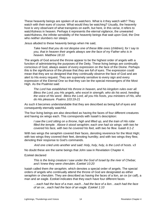These heavenly beings are spoken of as *watchers*. What is it they watch with? They watch with their eyes of course. What would they be watching? Usually, the heavenly host is very observant of what transpires on earth, but here, in this verse, it refers to watchfulness in heaven. Perhaps it represents the eternal vigilance, the unwearied watchfulness, the infinite sensibility of the heavenly beings that wait upon God, the One who *neither slumbers nor sleeps*.

Jesus alluded to these heavenly beings when He said,

*Take heed that you do not despise one of these little ones* (children)*; for I say to you, that in heaven their angels always see the face of my Father who is in heaven. Matthew 18:10*

The angels of God around the throne appear to be the highest order of angels with a function of administering the purposes of the Deity. These living beings are continually conscious of God, always aware of every expression on the face of the Divine. Perhaps this is the significance of the phrase that *they are full of eyes*. The expression could mean that they are so designed that they continually observe the face of God and are alert to His every request. They are supremely sensitive to every sign and every expression of the Eternal One so that they can be the special messengers of the Most High. As the Psalmist said:

*The Lord has established His throne in heaven, and his kingdom rules over all. Bless the Lord, you His angels, who excel in strength, who do his word, heeding the voice of His word. Bless the Lord, all you His hosts, you ministers of His, who do His pleasure. Psalms 103:19-21*

As such it becomes understandable that they are described as being *full of eyes* and consequently eternally watchful.

The four living beings are also described as having the faces of four different creatures and having six wings each. This corresponds with Isaiah's description:

*I saw the Lord sitting on a throne, high and lifted up, and the train of His robe filled the temple. Above it stood seraphim; each one had six wings: with two he covered his face, with two he covered his feet, with two he flew. Isaiah 6:1-2*

With two wings the seraphim covered their faces, denoting reverence for the Most High; with two wings they covered their feet, denoting humility; and with two wings they flew, denoting their response to God's commands.

*And one cried unto another and said: Holy, holy, holy, is the Lord of hosts. v3*

No doubt these are the same beings that John saw in Revelation Chapter 4.

#### Ezekiel declared

*This is the living creature I saw under the God of Israel by the river of Chebar, and I knew they were cherubim. Ezekiel 10:20*

Isaiah called them *the seraphim,* which denotes a special order of angels. The special orders of angels who continually attend the throne of God are designated as either seraphim or cherubim. They are described as having the faces of a lion, an ox (or calf), a man and an eagle. Ezekiel indicates that they each have four different faces

*…each had the face of a man, each…had the face of a lion…each had the face of an ox…each had the face of an eagle. Ezekiel 1:10*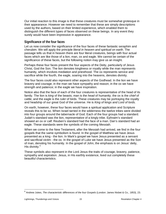Our initial reaction to this image is that these creatures must be somewhat grotesque in their appearance. However we need to remember that these are simply descriptions used by the authors, based on their limited experience, which enabled them to distinguish the different types of faces observed on these beings. In any event they surely would have been impressive in appearance.

#### <span id="page-14-0"></span>**Significance of the four faces**

Let us now consider the significance of the four faces of these fantastic seraphim and cherubim. We will apply the principle *literal in heaven and spiritual on earth*. The passage tells us that in heaven there are four literal creatures, beings with four actual faces which are like those of a lion, man, ox and eagle. We cannot be certain of the significance of these faces, but the following notion may give us an insight.

Perhaps these four faces present the four aspects of the Deity, particularly of Jesus Christ, God the Son. The lion denotes kingliness or royalty while the man represents humanity, which involves mediation and priesthood. The ox represents service and sacrifice while the fourth, the eagle, soaring into the heavens, denotes divinity.

The four faces could also represent other aspects of the Godhead. In the lion we have bravery and courage; in the man we have sympathy and reason; in the ox we have strength and patience; in the eagle we have inspiration.

Notice also that the face of each of the four creatures is representative of the head of its family. The lion is *king* of the beasts; man is the *head* of humanity; the ox is the *chief* of cattle; and the eagle is the *ruler* of birds. These creatures may be portraying the royalty and headship of our great God of the universe. He is *King of kings and Lord of lords*.

On earth, however, these four faces would have a spiritual application and Scripture reveals this to be so. When Israel tarried in the wilderness the twelve tribes were divided into four groups around the tabernacle of God. Each of the four groups had a standard. Judah's standard was the lion, representative of a kingly tribe. Ephraim's standard showed an ox or calf. Reuben's standard had the face of a man. Dan's standard had an eagle. These standards were the symbols of the coming Messiah.

When we come to the New Testament, after the Messiah had arrived, we find in the four gospels that the same symbolism is found. In the gospel of Matthew we have Jesus presented as a king - the lion. In Mark's gospel we have Jesus presented as a servant and sacrificial victim - the ox. In the gospel of Luke we have Jesus presented as the Son of man, denoting his humanity. In the gospel of John, the emphasis is on Jesus' deity, His divinity.<sup>[6](#page-14-1)</sup>

These symbols also represent in the Lord Jesus the traits of courage, bravery, patience, sympathy and aspiration. Jesus, in His earthly existence, lived out completely these beautiful characteristics.

<span id="page-14-1"></span><sup>6</sup> Andrew Jukes, *The characteristic differences of the four Gospels* (London: James Nisbet & Co., 1853), 23.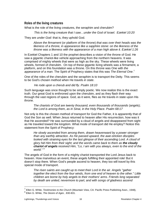#### <span id="page-15-0"></span>**Roles of the living creatures**

What is the role of the living creatures, the seraphim and cherubim?

*This is the living creature that I saw…under the God of Israel. Ezekiel 10:20*

They are *under God*: that is, they uphold God.

*Above the firmament* (or platform of the throne) *that was over their heads was the likeness of a throne, in appearance like a sapphire stone: on the likeness of the throne was a likeness with the appearance of a man high above it. Ezekiel 1:26*

In Ezekiel Chapters 1 and 10 the prophet describes a vision of the throne of God. He saw a gigantic chariot-like vehicle approaching from the northern heavens. It was comprised of mighty wheels that were as high as the sky. These wheels were living wheels, formed of cherubim. On top of these gigantic living wheels was a firmament, a platform, and on this foundation was a throne. On this throne was One with *the appearance of a man.* The Spirit of Prophecy states that this was *The Eternal One*. [7](#page-15-1)

One of the roles of the cherubim and the seraphim is to transport the Deity. This seems to be God's chosen method when He travels *in state*.

#### *He rode upon a cherub and did fly. Psalm 18:10*

Such language was once thought to be simply poetic. We now realize this is the exact truth. Our great God is enthroned upon the cherubim, and as they flash their way through the vast regions of space. God, as it were, flies as He travels in state upon His throne.

*The chariots of God are twenty thousand, even thousands of thousands* (angels); *the Lord is among them, as in Sinai, in the Holy Place. Psalm 68:17*

Not only is this the chosen method of transport for God the Father, it is apparently that of God the Son as well. When Jesus returned to heaven after His resurrection, how was it that He ascended? He was surrounded by a cloud of angels and disappeared from sight as He traveled toward the kingdom. What mode of transport did He employ? Notice this statement from the Spirit of Prophecy:

*He slowly ascended from among them, drawn heavenward by a power stronger than any earthly attraction. As He passed upward, the awe-stricken disciples looked with straining eyes for the last glimpse of their ascending Lord. A cloud of glory hid Him from their sight; and the words came back to them as the cloudy chariot of angels received Him, "Lo, I am with you always, even to the end of the world."* [8](#page-15-2)

The angels of God in the form of a mighty chariot transported the Lord Jesus back to heaven. How marvelous an event, these angels fulfilling their appointed role! But it doesn't stop there. When God's people ascend to heaven, they too will travel by this special mode of transport.

*The risen saints are caught up to meet their Lord in the air. Angels "gather together the elect from the four winds, from one end of heaven to the other." Little children are borne by holy angels to their mothers' arms. Friends long separated by death are united, nevermore to part, and with songs of gladness ascend* 

<span id="page-15-2"></span><span id="page-15-1"></span><sup>7</sup> Ellen G. White, *Testimonies to the Church* (Mountain View, CA: Pacific Press Publishing Assn., 1948), <sup>8</sup> Ellen G. White, *The Desire of Ages* , 830-831.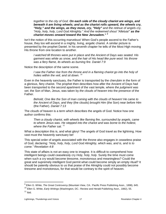*together to the city of God. On each side of the cloudy chariot are wings, and beneath it are living wheels; and as the chariot rolls upward, the wheels cry, "Holy," and the wings, as they move, cry, "Holy" and the retinue of angels cry, "Holy, holy, holy, Lord God Almighty." And the redeemed shout "Alleluia!" as the chariot moves onward toward the New Jerusalem." [9](#page-16-0)*

Isn't the notion of this occurring marvelous! When God's people ascend to the Father's house, they too will ascend in a mighty, living, angelic chariot. A similar picture is presented by the prophet Daniel. In his seventh chapter he tells of the Most High moving His throne from one location to another.

*I watched till thrones were put in place and the Ancient of Days was seated. His garment was white as snow, and the hair of His head like pure wool: his throne was a fiery flame, its wheels as burning fire. Daniel 7:9*

Notice the description of the same scene.

*I* saw the Father rise from the throne and in a flaming chariot go into the holy of *holies within the veil, and sit down.* [10](#page-16-1)

Even in the heavenly sanctuary, the Father is transported by the cherubim in the form of a glorious, fiery chariot. The prophet then describes how after the Ancient of Days had been transported to the second apartment of the vast temple, where *the judgment was set*, the Son of Man, Jesus, was taken by *the clouds of heaven* into the presence of the Father.

*Behold, One like the Son of man coming with the clouds of heaven! He came to the Ancient of Days, and they* (the clouds) *brought Him* (the Son) *near before Him*  (the Father). *Daniel 7:13* 

The *clouds of heaven* is a term which describes the angels of God. Notice how one author confirms this:

*Then a cloudy chariot, with wheels like flaming fire, surrounded by angels, came to where Jesus was. He stepped into the chariot and was borne to the holiest, where the Father sat.* [11](#page-16-2)

What a description this is, and what glory! The angels of God travel as the lightning. How vast must the heavenly sanctuary be!

This special order of angels associated with the throne also engages in ceaseless praise of God, declaring: *"Holy, holy, holy, Lord God Almighty, which was, and is, and is to come." Revelation 4:8*

This state of affairs is not an easy one to imagine. It is difficult to comprehend how intelligent beings could ceaselessly cry *Holy, holy, holy*. Surely the time must come when such a cry would become tiresome, monotonous and meaningless? Could the great and supremely intelligent God permit what could become simply an empty ritual? It should be patently obvious to us that praise of the Almighty could not possibly become tiresome and monotonous, for that would be contrary to the spirit of heaven.

<span id="page-16-0"></span><sup>9</sup> Ellen G. White, *The Great Controversy* (Mountain View, CA.: Pacific Press Publishing Assn., 1898), 645.

<span id="page-16-2"></span><span id="page-16-1"></span><sup>10</sup> Ellen G. White, *Early Writings* (Washington, DC.: Review and Herald Publishing Assn., 1882), 55.  $11$  Ibid.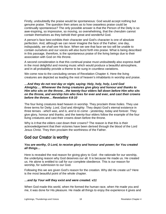Firstly, undoubtedly the praise would be spontaneous: God would accept nothing but genuine praise. The question then arises as to how ceaseless praise could be continually spontaneous? The only possible answer is that the Person of the Deity is so awe-inspiring, so impressive, so moving, so overwhelming, that the cherubim cannot contain themselves as they behold their great and wonderful God.

A person's face best exhibits their character and God's character is one of absolute perfection. And, although we can never imagine the face of the Father, one day, indisputably, *we shall see His face.* When we see that face we too will be unable to contain ourselves and our voices will also burst forth into praise. What is being described in this passage, therefore, is the spontaneous praise of the living beings due to their association with God on His throne.

A second consideration is that this continual praise must undoubtedly also express itself in the most delightful and moving music which would produce a beautiful atmosphere, and in all probability provide a theme to be sung in countless variations.

We come now to the concluding verses of Revelation Chapter 4. Here the living creatures are depicted as leading the rest of heaven's inhabitants in worship and praise.

#### *…And they do not rest day or night, saying: Holy, holy, holy, Lord God Almighty…. Whenever the living creatures give glory and honour and thanks to Him who sits on the throne…the twenty-four elders fall down before Him who sits on the throne, and worship him who lives for ever and ever, and cast their crowns before the throne… Revelation 4:8-10*

The four living creatures lead heaven in worship. They proclaim three *holies*. They use three terms for Deity: *Lord, God* and *Almighty*. They depict God's eternal existence in three tenses - *which was, and is, and is to come -* yesterday, today and forever. They give glory, honour and thanks; and the twenty-four elders follow the example of the four living creatures and cast their crowns down before the throne.

Why is it that the elders cast down their crowns? The reason is that this is their acknowledgement that their victories have been derived through the blood of the Lord Jesus Christ. They then proclaim the worthiness of the Father.

# <span id="page-17-0"></span>**God our Creator is worthy**

#### *You are worthy, O Lord, to receive glory and honour and power; for You created all things…*

Here is revealed the real reason for giving glory to God - the rationale for our worship, the underlying reason why God deserves our all. It is because He made us. He created us. He alone is entitled to call for our complete obedience. This is our reason for worship, for submission to our God.

Following this we are given God's reason for the creation. Why did He create us? Here is the most beautiful point of the whole chapter.

#### *…and by Your will they exist and were created. v11*

When God made this world, when He formed the human race, when He made you and me, it was done for His pleasure. He made all things to enjoy the experience it gives and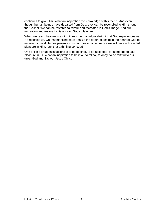continues to give Him. What an inspiration the knowledge of this fact is! And even though human beings have departed from God, they can be reconciled to Him through the Gospel. We can be restored to favour and recreated in God's image. And our recreation and restoration is also for God's pleasure.

When we reach heaven, we will witness the marvelous delight that God experiences as He receives us. Oh that mankind could realize the depth of desire in the heart of God to receive us back! He has pleasure in us, and as a consequence we will have unbounded pleasure in Him. Isn't that a thrilling concept!

One of life's great satisfactions is to be desired, to be accepted, for someone to take pleasure in us. What an inspiration to believe, to follow, to obey, to be faithful to our great God and Saviour Jesus Christ.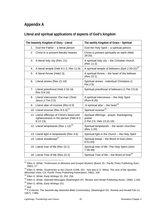# <span id="page-19-0"></span>**Appendix A**

## **Literal and spiritual applications of aspects of God's kingdom**

| The heavenly Kingdom of Glory - Literal                                                           | The earthly Kingdom of Grace - Spiritual                                           |
|---------------------------------------------------------------------------------------------------|------------------------------------------------------------------------------------|
| God the Father - a literal person<br>1.                                                           | God the Holy Spirit - a spiritual person                                           |
| Christ in is present literally heaven<br>2.                                                       | Christ is present spiritually on earth (Matt<br>28:20)                             |
| A literal holy city (Rev. 21)<br>3.                                                               | A spiritual holy city - the Christian church<br>(Rev 11:2)                         |
| A literal temple (Heb 8:1-3, Rev 11:9)<br>4.                                                      | A spiritual temple of believers (Eph 2:20-22) <sup>12</sup>                        |
| A literal throne (Heb1:3)<br>5.                                                                   | A spiritual throne $-$ the heart of the believer<br>(Rev 22:1)                     |
| Literal stones (Rev 21:19)<br>6.                                                                  | Spiritual stones - individual Christians (1<br>Pet.2:5)                            |
| Literal priesthood (Heb 2:16-18,<br>$7_{\scriptscriptstyle{\ddots}}$<br>Rev 5:8-10)               | Spiritual priesthood of believers (1 Pet 2:5,9)                                    |
| Literal intercessor The man Christ<br>8.<br>Jesus (I Tim 2:5)                                     | A spiritual intercessor - the Holy Spirit<br>(Rom 8:26)                            |
| Literal altar of incense (Rev 8:3)<br>9.                                                          | A spiritual altar – the heart <sup>13</sup>                                        |
| 10. Literal incense (Rev 8:3-4) <sup>14</sup>                                                     | Spiritual incense <sup>15</sup>                                                    |
| 11. Literal offerings of Christ's blood and<br>righteousness in His person (Heb 8:3;<br>$9:12-13$ | Spiritual offerings - prayer, thanksgiving,<br>praise<br>(I Pet 2:5; Heb 13:15-16) |
| 12. Literal lampstands (Rev 1:12) <sup>16</sup>                                                   | Spiritual lampstands - the seven churches<br>(Rev 1:20)                            |
| 13. Literal light in lampstands (Rev 4:5)                                                         | Spiritual light in the church - the Holy Spirit                                    |
| 14. Literal showbread <sup>17</sup>                                                               | Spiritual bread - the Word of God (John<br>6:51,63                                 |
| 15. Literal river of life (Rev 22:1)                                                              | Spiritual river of life - The Holy Spirit (John<br>$7:38-39$                       |
| 16. Literal Tree of life (Rev.22:2)                                                               | Spiritual Tree of life $-$ the Word of God <sup>18</sup>                           |

<span id="page-19-1"></span> <sup>12</sup> Ellen G. White, *Testimonies to Ministers and Gospel Workers* (Boise, ID.: Pacific Press Publishing Assn., 1962), 17.

<span id="page-19-2"></span><sup>13</sup> Ellen G. White, *Testimonies to the Church* 3:296, 337. See also E.G. White, *The Acts of the Apostles*  (Mountain View, CA: Pacific Press Publishing Association, 1962), 334.

<sup>14</sup> Ellen G. White, *Early Writings* 32, 252, 256.

<span id="page-19-4"></span><span id="page-19-3"></span><sup>15</sup> Ellen G. White, *Selected Messages* (Washington DC: Review and Herald Publishing Assoc, 1958), 1:344.

<span id="page-19-5"></span><sup>16</sup> Ellen G. White, *Early Writings* 251.

<span id="page-19-6"></span> $17$  Ibid.

<span id="page-19-7"></span><sup>18</sup> F.D.Nichol, *The Seventh-day Adventist Bible Commentary,* (Washington DC, Review and Herald Pub Co, 1957), 7:989.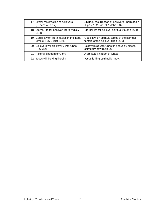| 17. Literal resurrection of believers                  | Spiritual resurrection of believers - born again  |
|--------------------------------------------------------|---------------------------------------------------|
| $(I$ Thess 4:16-17)                                    | (Eph 2:1; 2 Cor 5:17; John 3:3)                   |
| 18. Eternal life for believer, literally (Rev<br>21:4) | Eternal life for believer spiritually (John 5:24) |
| 19. God's law on literal tables in the literal         | God's law on spiritual tables of the spiritual    |
| temple (Rev 11:19; 15:5)                               | temple of the believer (Heb 8:10)                 |
| 20. Believers will sit literally with Christ           | Believers sit with Christ in heavenly places,     |
| (Rev 3:21)                                             | spiritually now (Eph 2:6)                         |
| 21. A literal kingdom of Glory                         | A spiritual kingdom of Grace.                     |
| 22. Jesus will be king literally                       | Jesus is king spiritually - now.                  |